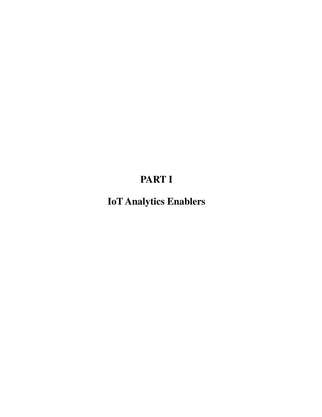# **PART I**

**IoT Analytics Enablers**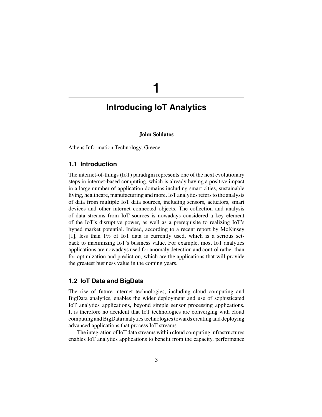**1**

#### **John Soldatos**

Athens Information Technology, Greece

### **1.1 Introduction**

The internet-of-things (IoT) paradigm represents one of the next evolutionary steps in internet-based computing, which is already having a positive impact in a large number of application domains including smart cities, sustainable living, healthcare, manufacturing and more. IoT analytics refers to the analysis of data from multiple IoT data sources, including sensors, actuators, smart devices and other internet connected objects. The collection and analysis of data streams from IoT sources is nowadays considered a key element of the IoT's disruptive power, as well as a prerequisite to realizing IoT's hyped market potential. Indeed, according to a recent report by McKinsey [1], less than 1% of IoT data is currently used, which is a serious setback to maximizing IoT's business value. For example, most IoT analytics applications are nowadays used for anomaly detection and control rather than for optimization and prediction, which are the applications that will provide the greatest business value in the coming years.

# **1.2 IoT Data and BigData**

The rise of future internet technologies, including cloud computing and BigData analytics, enables the wider deployment and use of sophisticated IoT analytics applications, beyond simple sensor processing applications. It is therefore no accident that IoT technologies are converging with cloud computing and BigData analytics technologies towards creating and deploying advanced applications that process IoT streams.

The integration of IoT data streams within cloud computing infrastructures enables IoT analytics applications to benefit from the capacity, performance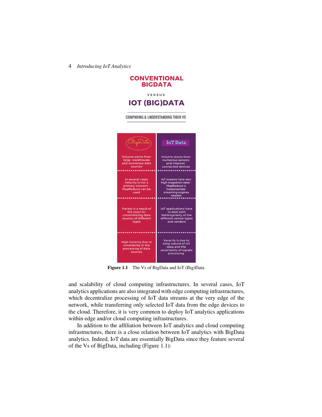

**CONVENTIONAL BIGDATA** VERSUS

**Figure 1.1** The Vs of BigData and IoT (Big)Data.

and scalability of cloud computing infrastructures. In several cases, IoT analytics applications are also integrated with edge computing infrastructures, which decentralize processing of IoT data streams at the very edge of the network, while transferring only selected IoT data from the edge devices to the cloud. Therefore, it is very common to deploy IoT analytics applications within edge and/or cloud computing infrastructures.

In addition to the affiliation between IoT analytics and cloud computing infrastructures, there is a close relation between IoT analytics with BigData analytics. Indeed, IoT data are essentially BigData since they feature several of the Vs of BigData, including (Figure 1.1):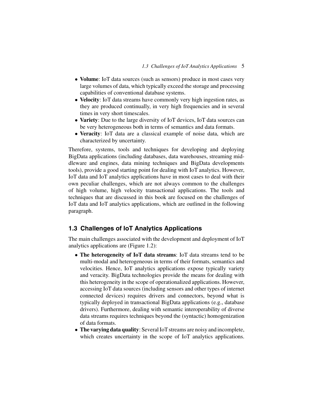- **Volume**: IoT data sources (such as sensors) produce in most cases very large volumes of data, which typically exceed the storage and processing capabilities of conventional database systems.
- **Velocity**: IoT data streams have commonly very high ingestion rates, as they are produced continually, in very high frequencies and in several times in very short timescales.
- **Variety**: Due to the large diversity of IoT devices, IoT data sources can be very heterogeneous both in terms of semantics and data formats.
- **Veracity**: IoT data are a classical example of noise data, which are characterized by uncertainty.

Therefore, systems, tools and techniques for developing and deploying BigData applications (including databases, data warehouses, streaming middleware and engines, data mining techniques and BigData developments tools), provide a good starting point for dealing with IoT analytics. However, IoT data and IoT analytics applications have in most cases to deal with their own peculiar challenges, which are not always common to the challenges of high volume, high velocity transactional applications. The tools and techniques that are discussed in this book are focused on the challenges of IoT data and IoT analytics applications, which are outlined in the following paragraph.

# **1.3 Challenges of IoT Analytics Applications**

The main challenges associated with the development and deployment of IoT analytics applications are (Figure 1.2):

- **The heterogeneity of IoT data streams**: IoT data streams tend to be multi-modal and heterogeneous in terms of their formats, semantics and velocities. Hence, IoT analytics applications expose typically variety and veracity. BigData technologies provide the means for dealing with this heterogeneity in the scope of operationalized applications. However, accessing IoT data sources (including sensors and other types of internet connected devices) requires drivers and connectors, beyond what is typically deployed in transactional BigData applications (e.g., database drivers). Furthermore, dealing with semantic interoperability of diverse data streams requires techniques beyond the (syntactic) homogenization of data formats.
- **The varying data quality**: Several IoT streams are noisy and incomplete, which creates uncertainty in the scope of IoT analytics applications.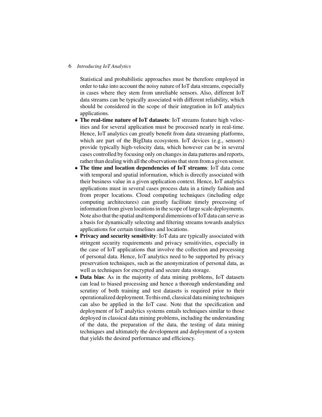Statistical and probabilistic approaches must be therefore employed in order to take into account the noisy nature of IoT data streams, especially in cases where they stem from unreliable sensors. Also, different IoT data streams can be typically associated with different reliability, which should be considered in the scope of their integration in IoT analytics applications.

- **The real-time nature of IoT datasets**: IoT streams feature high velocities and for several application must be processed nearly in real-time. Hence, IoT analytics can greatly benefit from data streaming platforms, which are part of the BigData ecosystem. IoT devices (e.g., sensors) provide typically high-velocity data, which however can be in several cases controlled by focusing only on changes in data patterns and reports, rather than dealing with all the observations that stem from a given sensor.
- **The time and location dependencies of IoT streams**: IoT data come with temporal and spatial information, which is directly associated with their business value in a given application context. Hence, IoT analytics applications must in several cases process data in a timely fashion and from proper locations. Cloud computing techniques (including edge computing architectures) can greatly facilitate timely processing of information from given locations in the scope of large scale deployments. Note also that the spatial and temporal dimensions of IoT data can serve as a basis for dynamically selecting and filtering streams towards analytics applications for certain timelines and locations.
- **Privacy and security sensitivity**: IoT data are typically associated with stringent security requirements and privacy sensitivities, especially in the case of IoT applications that involve the collection and processing of personal data. Hence, IoT analytics need to be supported by privacy preservation techniques, such as the anonymization of personal data, as well as techniques for encrypted and secure data storage.
- **Data bias**: As in the majority of data mining problems, IoT datasets can lead to biased processing and hence a thorough understanding and scrutiny of both training and test datasets is required prior to their operationalized deployment. To this end, classical data mining techniques can also be applied in the IoT case. Note that the specification and deployment of IoT analytics systems entails techniques similar to those deployed in classical data mining problems, including the understanding of the data, the preparation of the data, the testing of data mining techniques and ultimately the development and deployment of a system that yields the desired performance and efficiency.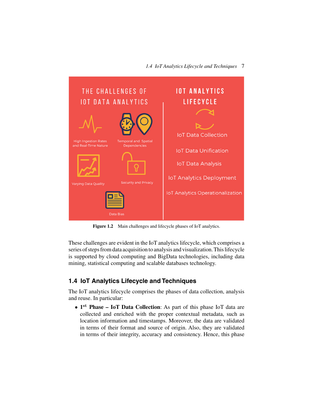

**Figure 1.2** Main challenges and lifecycle phases of IoT analytics.

These challenges are evident in the IoT analytics lifecycle, which comprises a series of steps from data acquisition to analysis and visualization.This lifecycle is supported by cloud computing and BigData technologies, including data mining, statistical computing and scalable databases technology.

# **1.4 IoT Analytics Lifecycle and Techniques**

The IoT analytics lifecycle comprises the phases of data collection, analysis and reuse. In particular:

• **<sup>1</sup>st Phase – IoT Data Collection**: As part of this phase IoT data are collected and enriched with the proper contextual metadata, such as location information and timestamps. Moreover, the data are validated in terms of their format and source of origin. Also, they are validated in terms of their integrity, accuracy and consistency. Hence, this phase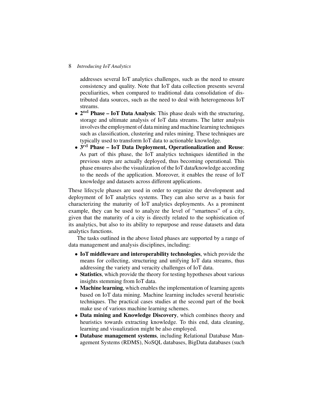addresses several IoT analytics challenges, such as the need to ensure consistency and quality. Note that IoT data collection presents several peculiarities, when compared to traditional data consolidation of distributed data sources, such as the need to deal with heterogeneous IoT streams.

- **<sup>2</sup>nd Phase IoT Data Analysis**: This phase deals with the structuring, storage and ultimate analysis of IoT data streams. The latter analysis involves the employment of data mining and machine learning techniques such as classification, clustering and rules mining. These techniques are typically used to transform IoT data to actionable knowledge.
- **<sup>3</sup>rd Phase IoT Data Deployment, Operationalization and Reuse**: As part of this phase, the IoT analytics techniques identified in the previous steps are actually deployed, thus becoming operational. This phase ensures also the visualization of the IoT data/knowledge according to the needs of the application. Moreover, it enables the reuse of IoT knowledge and datasets across different applications.

These lifecycle phases are used in order to organize the development and deployment of IoT analytics systems. They can also serve as a basis for characterizing the maturity of IoT analytics deployments. As a prominent example, they can be used to analyze the level of "smartness" of a city, given that the maturity of a city is directly related to the sophistication of its analytics, but also to its ability to repurpose and reuse datasets and data analytics functions.

The tasks outlined in the above listed phases are supported by a range of data management and analysis disciplines, including:

- **IoT middleware and interoperability technologies**, which provide the means for collecting, structuring and unifying IoT data streams, thus addressing the variety and veracity challenges of IoT data.
- **Statistics**, which provide the theory for testing hypotheses about various insights stemming from IoT data.
- **Machine learning**, which enables the implementation of learning agents based on IoT data mining. Machine learning includes several heuristic techniques. The practical cases studies at the second part of the book make use of various machine learning schemes.
- **Data mining and Knowledge Discovery**, which combines theory and heuristics towards extracting knowledge. To this end, data cleaning, learning and visualization might be also employed.
- **Database management systems**, including Relational Database Management Systems (RDMS), NoSQL databases, BigData databases (such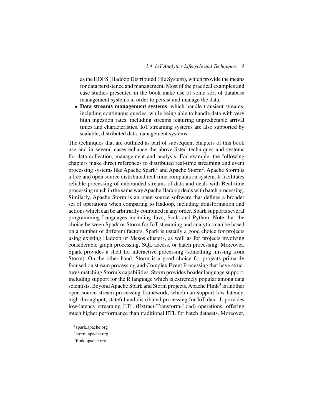as the HDFS (Hadoop Distributed File System), which provide the means for data persistence and management. Most of the practical examples and case studies presented in the book make use of some sort of database management systems in order to persist and manage the data.

• **Data streams management systems**, which handle transient streams, including continuous queries, while being able to handle data with very high ingestion rates, including streams featuring unpredictable arrival times and characteristics. IoT streaming systems are also supported by scalable, distributed data management systems.

The techniques that are outlined as part of subsequent chapters of this book use and in several cases enhance the above-listed techniques and systems for data collection, management and analysis. For example, the following chapters make direct references to distributed real-time streaming and event processing systems like Apache Spark<sup>1</sup> and Apache Storm<sup>2</sup>. Apache Storm is a free and open source distributed real-time computation system. It facilitates reliable processing of unbounded streams of data and deals with Real-time processing much in the same wayApache Hadoop deals with batch processing. Similarly, Apache Storm is an open source software that defines a broader set of operations when comparing to Hadoop, including transformation and actions which can be arbitrarily combined in any order. Spark supports several programming Languages including Java, Scala and Python. Note that the choice between Spark or Storm for IoT streaming and analytics can be based on a number of different factors. Spark is usually a good choice for projects using existing Hadoop or Mesos clusters, as well as for projects involving considerable graph processing, SQL access, or batch processing. Moreover, Spark provides a shell for interactive processing (something missing from Storm). On the other hand, Storm is a good choice for projects primarily focused on stream processing and Complex Event Processing that have structures matching Storm's capabilities. Storm provides boader language support, including support for the R language which is extremely popular among data scientists. Beyond Apache Spark and Storm projects, Apache Flink<sup>3</sup> is another open source stream processing framework, which can support low latency, high throughput, stateful and distributed processing for IoT data. It provides low-latency streaming ETL (Extract-Transform-Load) operations, offering much higher performance than traditional ETL for batch datasets. Moreover,

 $1$ spark.apache.org

<sup>2</sup>storm.apache.org

<sup>3</sup>flink.apache.org